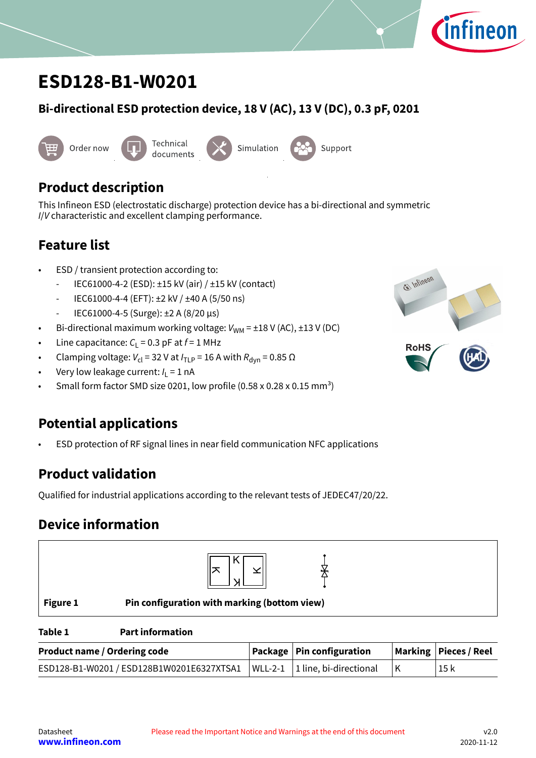

# <span id="page-0-0"></span>**ESD128-B1-W0201**

### **Bi-directional ESD protection device, 18 V (AC), 13 V (DC), 0.3 pF, 0201**



# **Product description**

This Infineon ESD (electrostatic discharge) protection device has a bi-directional and symmetric I/V characteristic and excellent clamping performance.

## **Feature list**

- ESD / transient protection according to:
	- IEC61000-4-2 (ESD): ±15 kV (air) / ±15 kV (contact)
	- IEC61000-4-4 (EFT): ±2 kV / ±40 A (5/50 ns)
	- IEC61000-4-5 (Surge): ±2 A (8/20 μs)
- Bi-directional maximum working voltage:  $V_{WM} = \pm 18$  V (AC),  $\pm 13$  V (DC)
- Line capacitance:  $C_{L}$  = 0.3 pF at  $f$  = 1 MHz
- Clamping voltage:  $V_{\text{cl}}$  = 32 V at  $I_{\text{TLP}}$  = 16 A with  $R_{\text{dyn}}$  = 0.85  $\Omega$
- Very low leakage current:  $I_L = 1$  nA
- Small form factor SMD size 0201, low profile  $(0.58 \times 0.28 \times 0.15 \text{ mm}^3)$

# **Potential applications**

• ESD protection of RF signal lines in near field communication NFC applications

# **Product validation**

Qualified for industrial applications according to the relevant tests of JEDEC47/20/22.

# **Device information**





### **Table 1 Part information**

| <b>Product name / Ordering code</b>                                              | Package   Pin configuration | Marking   Pieces / Reel |
|----------------------------------------------------------------------------------|-----------------------------|-------------------------|
| ESD128-B1-W0201 / ESD128B1W0201E6327XTSA1   WLL-2-1   1 line, bi-directional   K |                             | 15 k                    |

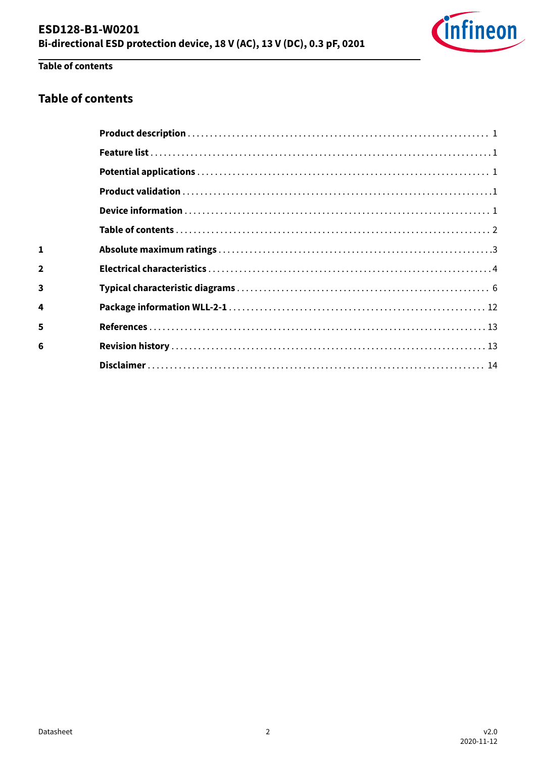

# Table of contents

 $\mathbf{1}$ 

 $\overline{\mathbf{2}}$ 

 $\overline{\mathbf{3}}$ 

 $\overline{\mathbf{4}}$ 

 $\overline{\mathbf{5}}$ 

 $6\phantom{a}$ 

### **Table of contents**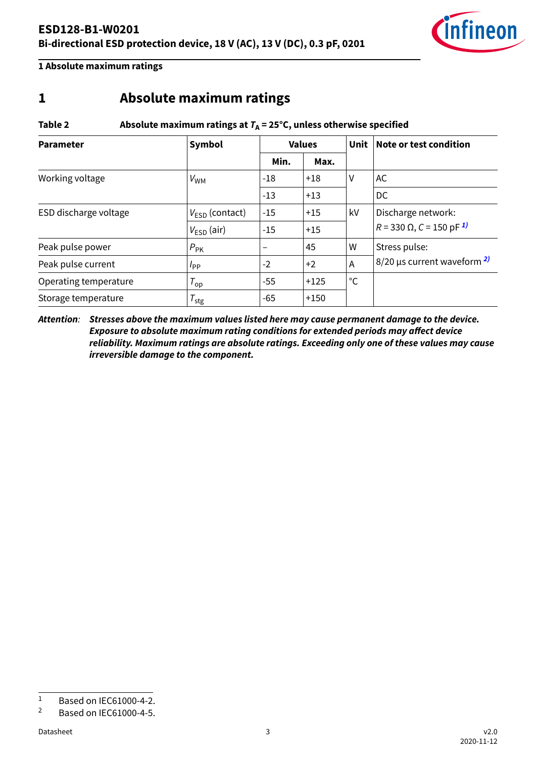

<span id="page-2-0"></span>**1 Absolute maximum ratings**

## **1 Absolute maximum ratings**

### Table 2 **Absolute maximum ratings at**  $T_A = 25^\circ C$ **, unless otherwise specified**

| <b>Parameter</b>      | Symbol                     |                          | <b>Values</b> | Unit | Note or test condition                      |  |
|-----------------------|----------------------------|--------------------------|---------------|------|---------------------------------------------|--|
|                       |                            | Min.                     | Max.          |      |                                             |  |
| Working voltage       | $V_{WM}$                   | $-18$                    | $+18$         | V    | AC                                          |  |
|                       |                            | $-13$                    | $+13$         |      | DC                                          |  |
| ESD discharge voltage | $V_{\text{FSD}}$ (contact) | $-15$                    | $+15$         | kV   | Discharge network:                          |  |
|                       | $V_{ESD}$ (air)            | $-15$                    | $+15$         |      | $R = 330 \Omega$ , C = 150 pF <sup>1)</sup> |  |
| Peak pulse power      | $P_{\rm PK}$               | $\overline{\phantom{a}}$ | 45            | W    | Stress pulse:                               |  |
| Peak pulse current    | $I_{\mathsf{PP}}$          | $-2$                     | $+2$          | A    | $8/20$ µs current waveform $2$              |  |
| Operating temperature | $T_{op}$                   | $-55$                    | $+125$        | °C   |                                             |  |
| Storage temperature   | $T_{\rm stg}$              | $-65$                    | $+150$        |      |                                             |  |

**Attention**: **Stresses above the maximum values listed here may cause permanent damage to the device. Exposure to absolute maximum rating conditions for extended periods may affect device reliability. Maximum ratings are absolute ratings. Exceeding only one of these values may cause irreversible damage to the component.**

 $\frac{1}{2}$  Based on IEC61000-4-2.

<sup>2</sup> Based on IEC61000-4-5.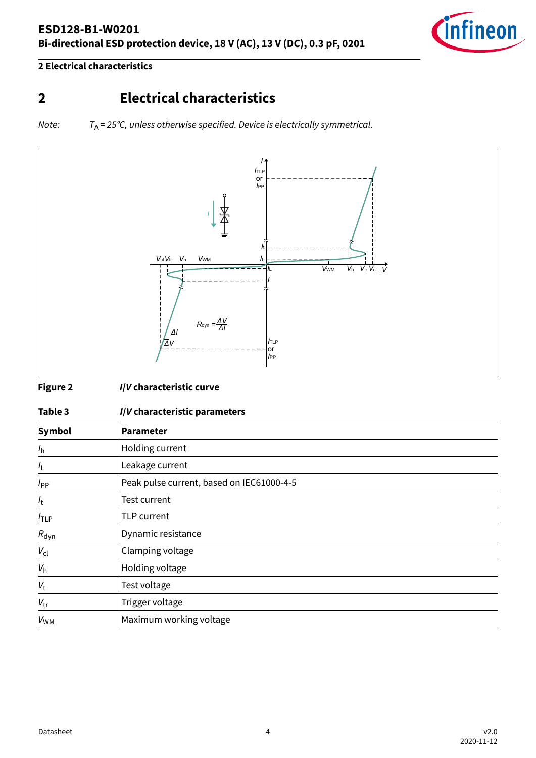<span id="page-3-0"></span>



**2 Electrical characteristics**

# **2 Electrical characteristics**

Note:  $T_A = 25^{\circ}C$ , unless otherwise specified. Device is electrically symmetrical.



**Figure 2 I/V characteristic curve**

| . .<br>٠<br>× | ×<br>۰.<br>٧ |
|---------------|--------------|
|---------------|--------------|

#### **Table 3 I/V characteristic parameters**

| Symbol           | Parameter                                 |
|------------------|-------------------------------------------|
| $l_{h}$          | Holding current                           |
| $I_{\mathsf{L}}$ | Leakage current                           |
| $I_{PP}$         | Peak pulse current, based on IEC61000-4-5 |
| $I_{t}$          | Test current                              |
| $I_{\text{TLP}}$ | TLP current                               |
| $R_{dyn}$        | Dynamic resistance                        |
| $V_{\text{cl}}$  | Clamping voltage                          |
| $V_{h}$          | Holding voltage                           |
| $V_{\rm t}$      | Test voltage                              |
| $V_{\text{tr}}$  | Trigger voltage                           |
| $V_{WM}$         | Maximum working voltage                   |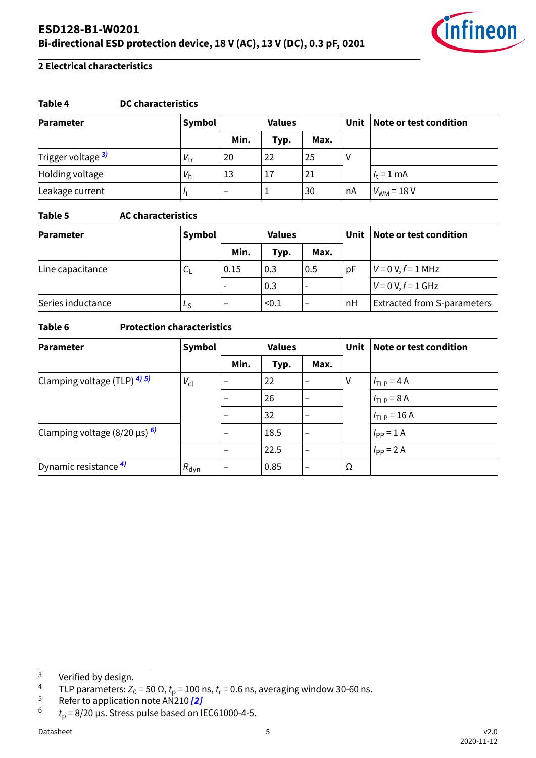



### **2 Electrical characteristics**

#### **Table 4 DC characteristics**

| <b>Parameter</b>              | Symbol          |      | <b>Values</b> |      | <b>Unit</b> | Note or test condition |
|-------------------------------|-----------------|------|---------------|------|-------------|------------------------|
|                               |                 | Min. | Typ.          | Max. |             |                        |
| Trigger voltage <sup>3)</sup> | $V_{\text{tr}}$ | 20   | 22            | 25   |             |                        |
| Holding voltage               | $V_{h}$         | 13   | 17            | 21   |             | $l_{\rm t}$ = 1 mA     |
| Leakage current               |                 | -    |               | 30   | nA          | $V_{WM}$ = 18 V        |

### **Table 5 AC characteristics**

| Symbol<br><b>Values</b><br><b>Parameter</b> |             |                          | Unit  | Note or test condition   |    |                                    |
|---------------------------------------------|-------------|--------------------------|-------|--------------------------|----|------------------------------------|
|                                             |             | Min.                     | Typ.  | Max.                     |    |                                    |
| Line capacitance                            | $c_{\rm L}$ | 0.15                     | 0.3   | 0.5                      | рF | $V = 0 V, f = 1 MHz$               |
|                                             |             | $\overline{\phantom{a}}$ | 0.3   |                          |    | $V = 0 V, f = 1 GHz$               |
| Series inductance                           | Ls          |                          | < 0.1 | $\overline{\phantom{m}}$ | nH | <b>Extracted from S-parameters</b> |

### **Table 6 Protection characteristics**

| <b>Parameter</b>                     | Symbol           | <b>Values</b>            |      | <b>Unit</b>              | Note or test condition |                                 |
|--------------------------------------|------------------|--------------------------|------|--------------------------|------------------------|---------------------------------|
|                                      |                  | Min.                     | Typ. | Max.                     |                        |                                 |
| Clamping voltage (TLP) $4/5/$        | $V_{\text{cl}}$  | $\overline{\phantom{0}}$ | 22   |                          | V                      | $ITLP = 4 A$                    |
|                                      |                  | $\overline{\phantom{0}}$ | 26   | $\overline{\phantom{m}}$ |                        | $1_{\text{TLP}} = 8 \text{ A}$  |
|                                      |                  |                          | 32   | $\qquad \qquad$          |                        | $I_{\text{TLP}} = 16 \text{ A}$ |
| Clamping voltage $(8/20 \,\mu s)$ 6) |                  | $\overline{\phantom{0}}$ | 18.5 | $\overline{\phantom{0}}$ |                        | $I_{PP} = 1$ A                  |
|                                      |                  | $\overline{\phantom{0}}$ | 22.5 | $\qquad \qquad$          |                        | $I_{PP}$ = 2 A                  |
| Dynamic resistance 4)                | $R_{\text{dyn}}$ | $\overline{\phantom{0}}$ | 0.85 | $\overline{\phantom{m}}$ | Ω                      |                                 |

<sup>5</sup> Refer to application note AN210 **[\[2\]](#page-12-0)**

 $\frac{3}{4}$  Verified by design.

<sup>&</sup>lt;sup>4</sup> TLP parameters: Z<sub>0</sub> = 50 Ω,  $t_{\sf p}$  = 100 ns,  $t_{\sf r}$  = 0.6 ns, averaging window 30-60 ns.

<sup>6</sup>  $t<sub>p</sub>$  = 8/20 µs. Stress pulse based on IEC61000-4-5.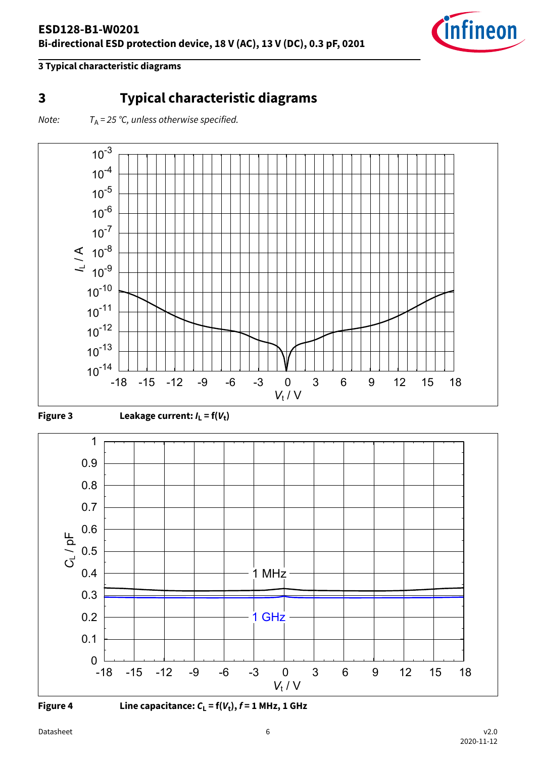

## <span id="page-5-0"></span>**3 Typical characteristic diagrams**

Note:  $T_A = 25$  °C, unless otherwise specified.











**Figure 4** Line capacitance:  $C_{L}$  = f( $V_{t}$ ),  $f$  = 1 MHz, 1 GHz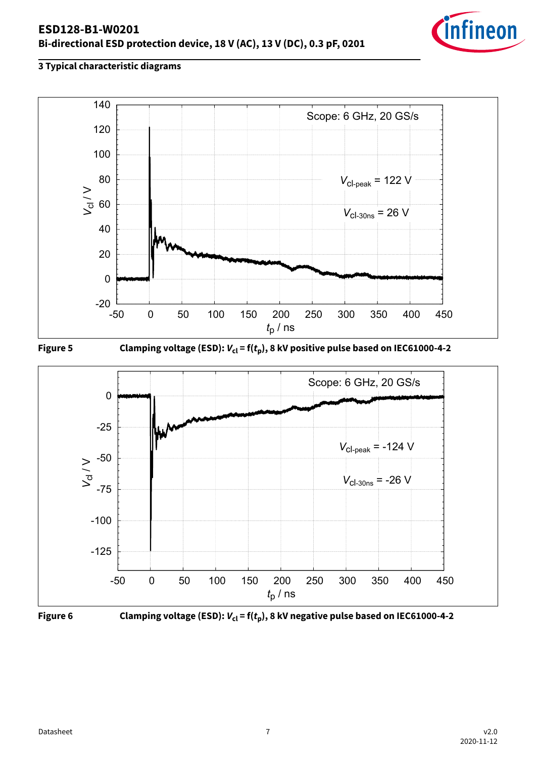







**Figure 5** Clamping voltage (ESD):  $V_{\text{cl}} = f(t_{\text{p}})$ , 8 kV positive pulse based on IEC61000-4-2





**Figure 6** Clamping voltage (ESD):  $V_{\text{cl}} = f(t_{\text{p}})$ , 8 kV negative pulse based on IEC61000-4-2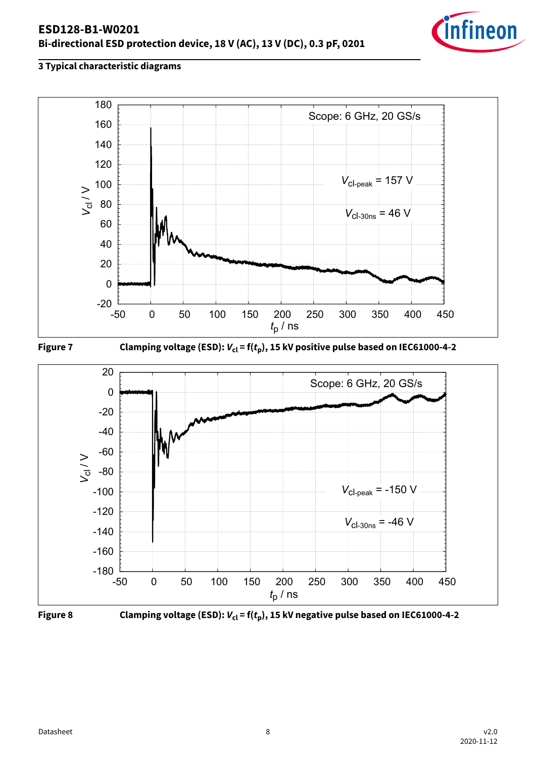







**Figure 7** Clamping voltage (ESD):  $V_{cl}$  = f( $t_p$ ), 15 kV positive pulse based on IEC61000-4-2





**Figure 8** Clamping voltage (ESD):  $V_{\text{cl}} = f(t_p)$ , 15 kV negative pulse based on IEC61000-4-2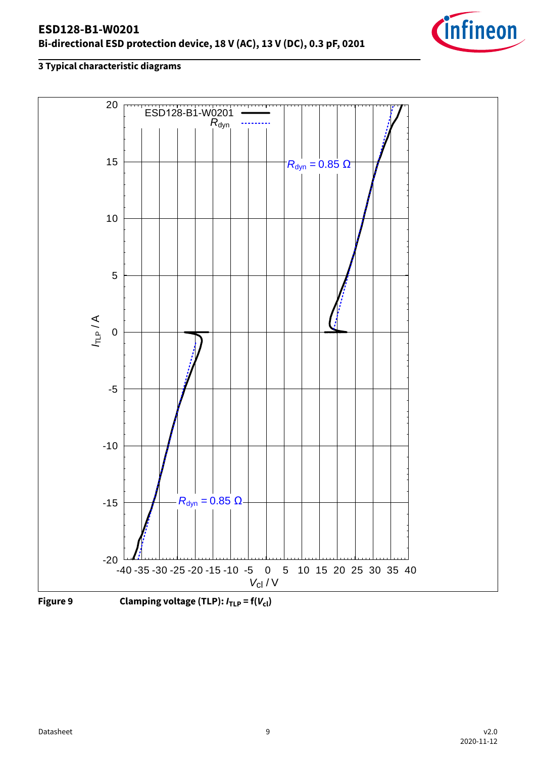### **ESD128-B1-W0201 Bi-directional ESD protection device, 18 V (AC), 13 V (DC), 0.3 pF, 0201**







**Figure 9** Clamping voltage (TLP):  $I_{\text{TLP}} = f(V_{\text{cl}})$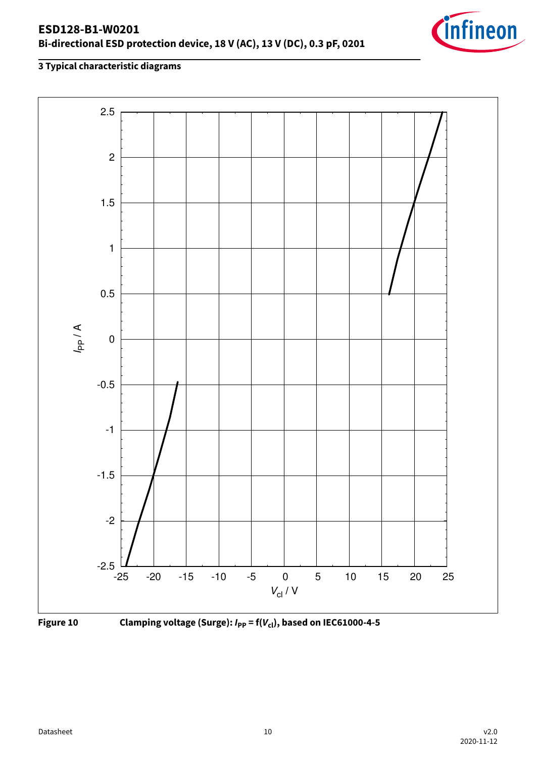







**Figure 10** Clamping voltage (Surge):  $I_{PP} = f(V_{cl})$ , based on IEC61000-4-5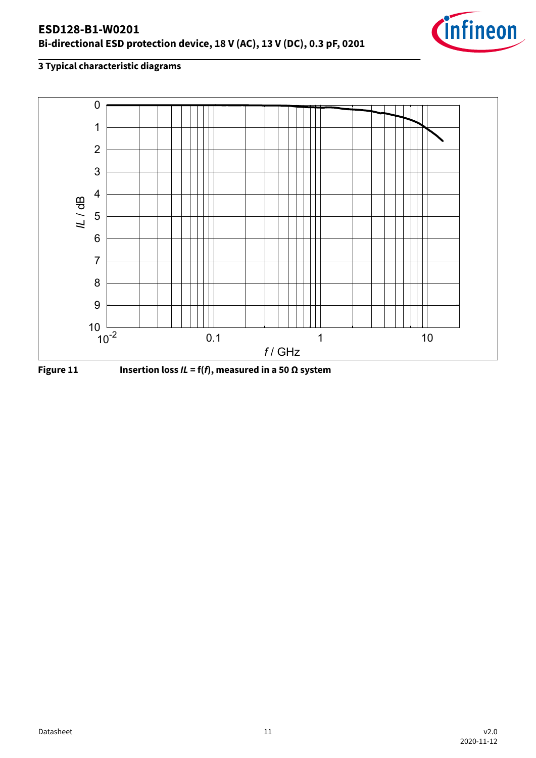



**Figure 11** Insertion loss  $IL = f(f)$ , measured in a 50  $\Omega$  system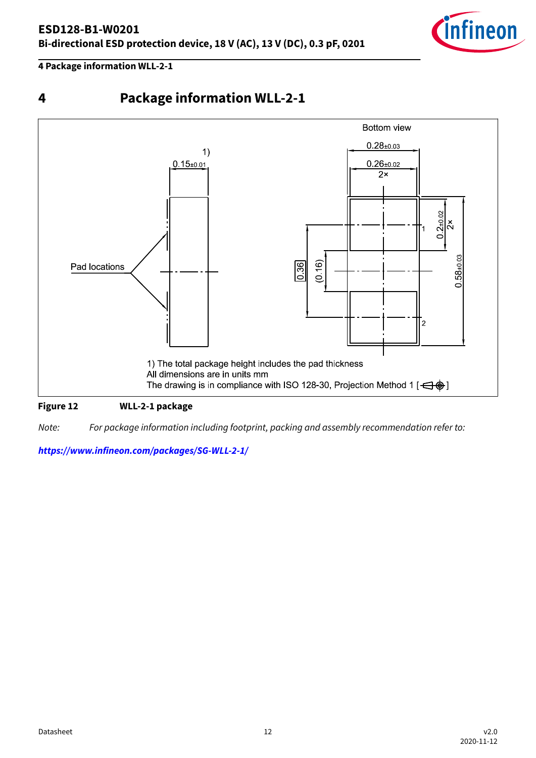

<span id="page-11-0"></span>**4 Package information WLL-2-1**





#### **Figure 12 WLL-2-1 package**

Note: For package information including footprint, packing and assembly recommendation refer to:

**<https://www.infineon.com/packages/SG-WLL-2-1/>**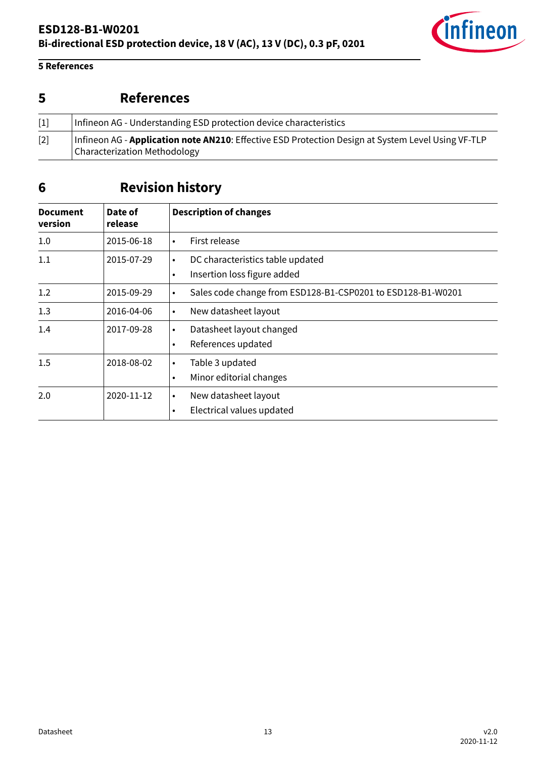

### <span id="page-12-0"></span>**5 References**

# **5 References**

| $\lceil 1 \rceil$ | Infineon AG - Understanding ESD protection device characteristics                                                                          |
|-------------------|--------------------------------------------------------------------------------------------------------------------------------------------|
| $[2]$             | Infineon AG - <b>Application note AN210</b> : Effective ESD Protection Design at System Level Using VF-TLP<br>Characterization Methodology |

# **6 Revision history**

| <b>Document</b><br>version | Date of<br>release | <b>Description of changes</b>                                                             |
|----------------------------|--------------------|-------------------------------------------------------------------------------------------|
| 1.0                        | 2015-06-18         | First release<br>$\bullet$                                                                |
| 1.1                        | 2015-07-29         | DC characteristics table updated<br>$\bullet$<br>Insertion loss figure added<br>$\bullet$ |
| 1.2                        | 2015-09-29         | Sales code change from ESD128-B1-CSP0201 to ESD128-B1-W0201<br>$\bullet$                  |
| 1.3                        | 2016-04-06         | New datasheet layout<br>$\bullet$                                                         |
| 1.4                        | 2017-09-28         | Datasheet layout changed<br>$\bullet$<br>References updated<br>٠                          |
| 1.5                        | 2018-08-02         | Table 3 updated<br>$\bullet$<br>Minor editorial changes<br>$\bullet$                      |
| 2.0                        | 2020-11-12         | New datasheet layout<br>$\bullet$<br>Electrical values updated<br>$\bullet$               |